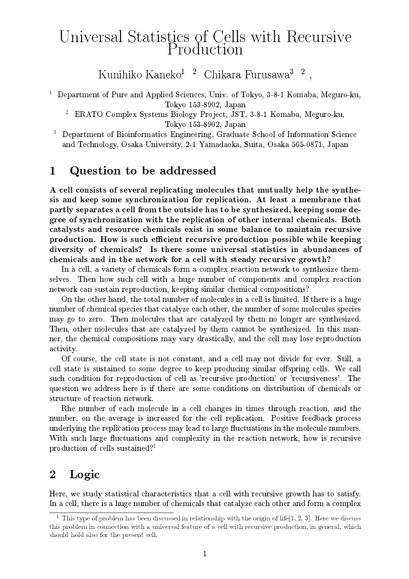# Universal Statistics of Cells with Recursive<br>Production

Kunihiko Kaneko<sup>12</sup> Chikara Furusawa<sup>32</sup>,

<sup>1</sup> Department of Pure and Applied Sciences, Univ. of Tokyo, 3-8-1 Komaba, Meguro-ku, Tokyo 153-8902, Japan

- <sup>2</sup> ERATO Complex Systems Biology Project, JST, 3-8-1 Komaba, Meguro-ku, Tokyo 153-8902, Japan
- Department of Bioinformatics Engineering, Graduate School of Information Science and Technology, Osaka University, 2-1 Yamadaoka, Suita, Osaka 565-0871, Japan

#### Question to be addressed  $\mathbf 1$

A cell consists of several replicating molecules that mutually help the synthesis and keep some synchronization for replication. At least a membrane that partly separates a cell from the outside has to be synthesized, keeping some degree of synchronization with the replication of other internal chemicals. Both catalysts and resource chemicals exist in some balance to maintain recursive production. How is such efficient recursive production possible while keeping diversity of chemicals? Is there some universal statistics in abundances of chemicals and in the network for a cell with steady recursive growth?

In a cell, a variety of chemicals form a complex reaction network to synthesize themselves. Then how such cell with a huge number of components and complex reaction network can sustain reproduction, keeping similar chemical compositions?

On the other hand, the total number of molecules in a cell is limited. If there is a huge number of chemical species that catalyze each other, the number of some molecules species may go to zero. Then molecules that are catalyzed by them no longer are synthesized. Then, other molecules that are catalyzed by them cannot be synthesized. In this manner, the chemical compositions may vary drastically, and the cell may lose reproduction activity.

Of course, the cell state is not constant, and a cell may not divide for ever. Still, a cell state is sustained to some degree to keep producing similar offspring cells. We call such condition for reproduction of cell as 'recursive production' or 'recursiveness'. The question we address here is if there are some conditions on distribution of chemicals or structure of reaction network.

Rhe number of each molecule in a cell changes in times through reaction, and the number, on the average is increased for the cell replication. Positive feedback process underlying the replication process may lead to large fluctuations in the molecule numbers. With such large fluctuations and complexity in the reaction network, how is recursive production of cells sustained?<sup>1</sup>

#### Logic  $\boldsymbol{2}$

Here, we study statistical characteristics that a cell with recursive growth has to satisfy. In a cell, there is a huge number of chemicals that catalyze each other and form a complex

<sup>&</sup>lt;sup>1</sup> This type of problem has been discussed in relationship with the origin of life<sup>[1,2,3]</sup>. Here we discuss this problem in connection with a universal feature of a cell with recursive production, in general, which should hold also for the present cell.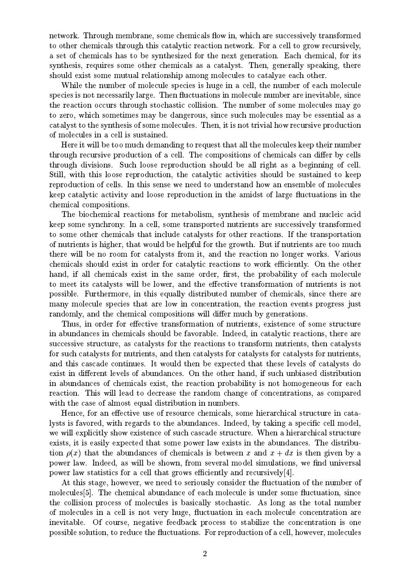network. Through membrane, some chemicals flow in, which are successively transformed to other chemicals through this catalytic reaction network. For a cell to grow recursively, a set of chemicals has to be synthesized for the next generation. Each chemical, for its synthesis, requires some other chemicals as a catalyst. Then, generally speaking, there should exist some mutual relationship among molecules to catalyze each other.

While the number of molecule species is huge in a cell, the number of each molecule species is not necessarily large. Then fluctuations in molecule number are inevitable, since the reaction occurs through stochastic collision. The number of some molecules may go to zero, which sometimes may be dangerous, since such molecules may be essential as a catalyst to the synthesis of some molecules. Then, it is not trivial how recursive production of molecules in a cell is sustained.

Here it will be too much demanding to request that all the molecules keep their number through recursive production of a cell. The compositions of chemicals can differ by cells through divisions. Such loose reproduction should be all right as a beginning of cell. Still, with this loose reproduction, the catalytic activities should be sustained to keep reproduction of cells. In this sense we need to understand how an ensemble of molecules keep catalytic activity and loose reproduction in the amidst of large fluctuations in the chemical compositions.

The biochemical reactions for metabolism, synthesis of membrane and nucleic acid keep some synchrony. In a cell, some transported nutrients are successively transformed to some other chemicals that include catalysts for other reactions. If the transportation of nutrients is higher, that would be helpful for the growth. But if nutrients are too much there will be no room for catalysts from it, and the reaction no longer works. Various chemicals should exist in order for catalytic reactions to work efficiently. On the other hand, if all chemicals exist in the same order, first, the probability of each molecule to meet its catalysts will be lower, and the effective transformation of nutrients is not possible. Furthermore, in this equally distributed number of chemicals, since there are many molecule species that are low in concentration, the reaction events progress just randomly, and the chemical compositions will differ much by generations.

Thus, in order for effective transformation of nutrients, existence of some structure in abundances in chemicals should be favorable. Indeed, in catalytic reactions, there are successive structure, as catalysts for the reactions to transform nutrients, then catalysts for such catalysts for nutrients, and then catalysts for catalysts for catalysts for nutrients, and this cascade continues. It would then be expected that these levels of catalysts do exist in different levels of abundances. On the other hand, if such unbiased distribution in abundances of chemicals exist, the reaction probability is not homogeneous for each reaction. This will lead to decrease the random change of concentrations, as compared with the case of almost equal distribution in numbers.

Hence, for an effective use of resource chemicals, some hierarchical structure in catalysts is favored, with regards to the abundances. Indeed, by taking a specific cell model, we will explicitly show existence of such cascade structure. When a hierarchical structure exists, it is easily expected that some power law exists in the abundances. The distribution  $\rho(x)$  that the abundances of chemicals is between x and  $x + dx$  is then given by a power law. Indeed, as will be shown, from several model simulations, we find universal power law statistics for a cell that grows efficiently and recursively [4].

At this stage, however, we need to seriously consider the fluctuation of the number of molecules<sup>[5]</sup>. The chemical abundance of each molecule is under some fluctuation, since the collision process of molecules is basically stochastic. As long as the total number of molecules in a cell is not very huge, fluctuation in each molecule concentration are inevitable. Of course, negative feedback process to stabilize the concentration is one possible solution, to reduce the fluctuations. For reproduction of a cell, however, molecules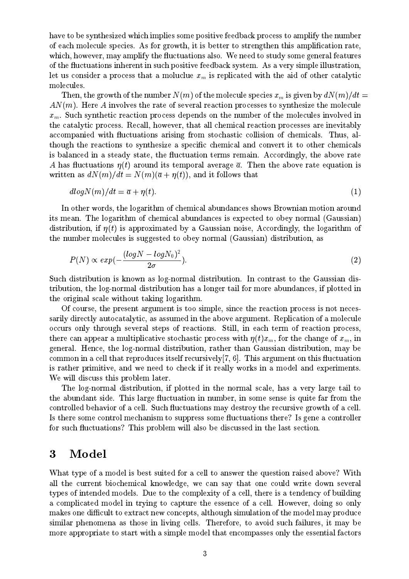have to be synthesized which implies some positive feedback process to amplify the number of each molecule species. As for growth, it is better to strengthen this amplification rate, which, however, may amplify the fluctuations also. We need to study some general features of the fluctuations inherent in such positive feedback system. As a very simple illustration, let us consider a process that a moluclue  $x_m$  is replicated with the aid of other catalytic molecules.

Then, the growth of the number  $N(m)$  of the molecule species  $x_m$  is given by  $dN(m)/dt =$  $AN(m)$ . Here A involves the rate of several reaction processes to synthesize the molecule  $x_m$ . Such synthetic reaction process depends on the number of the molecules involved in the catalytic process. Recall, however, that all chemical reaction processes are inevitably accompanied with fluctuations arising from stochastic collision of chemicals. Thus, although the reactions to synthesize a specific chemical and convert it to other chemicals is balanced in a steady state, the fluctuation terms remain. Accordingly, the above rate A has fluctuations  $\eta(t)$  around its temporal average  $\bar{a}$ . Then the above rate equation is written as  $dN(m)/dt = N(m)(\overline{a} + \eta(t))$ , and it follows that

$$
dlogN(m)/dt = \overline{a} + \eta(t). \tag{1}
$$

In other words, the logarithm of chemical abundances shows Brownian motion around its mean. The logarithm of chemical abundances is expected to obey normal (Gaussian) distribution, if  $\eta(t)$  is approximated by a Gaussian noise, Accordingly, the logarithm of the number molecules is suggested to obey normal (Gaussian) distribution, as

$$
P(N) \propto exp(-\frac{(logN - logN_0)^2}{2\sigma}).
$$
\n(2)

Such distribution is known as log-normal distribution. In contrast to the Gaussian distribution, the log-normal distribution has a longer tail for more abundances, if plotted in the original scale without taking logarithm.

Of course, the present argument is too simple, since the reaction process is not necessarily directly autocatalytic, as assumed in the above argument. Replication of a molecule occurs only through several steps of reactions. Still, in each term of reaction process, there can appear a multiplicative stochastic process with  $\eta(t)x_m$ , for the change of  $x_m$ , in general. Hence, the log-normal distribution, rather than Gaussian distribution, may be common in a cell that reproduces itself recursively[7, 6]. This argument on this fluctuation is rather primitive, and we need to check if it really works in a model and experiments. We will discuss this problem later.

The log-normal distribution, if plotted in the normal scale, has a very large tail to the abundant side. This large fluctuation in number, in some sense is quite far from the controlled behavior of a cell. Such fluctuations may destroy the recursive growth of a cell. Is there some control mechanism to suppress some fluctuations there? Is gene a controller for such fluctuations? This problem will also be discussed in the last section.

#### Model  $\bf{3}$

What type of a model is best suited for a cell to answer the question raised above? With all the current biochemical knowledge, we can say that one could write down several types of intended models. Due to the complexity of a cell, there is a tendency of building a complicated model in trying to capture the essence of a cell. However, doing so only makes one difficult to extract new concepts, although simulation of the model may produce similar phenomena as those in living cells. Therefore, to avoid such failures, it may be more appropriate to start with a simple model that encompasses only the essential factors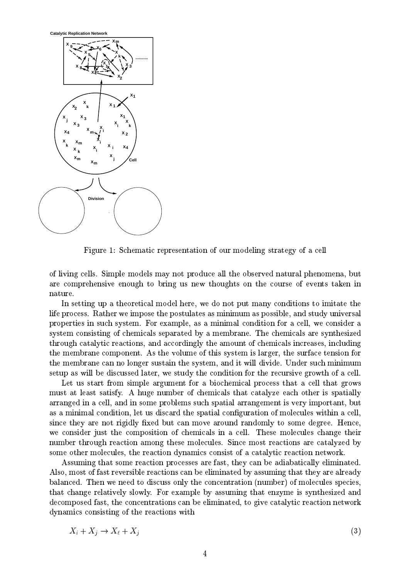

Figure 1: Schematic representation of our modeling strategy of a cell

of living cells. Simple models may not produce all the observed natural phenomena, but are comprehensive enough to bring us new thoughts on the course of events taken in nature.

In setting up a theoretical model here, we do not put many conditions to imitate the life process. Rather we impose the postulates as minimum as possible, and study universal properties in such system. For example, as a minimal condition for a cell, we consider a system consisting of chemicals separated by a membrane. The chemicals are synthesized through catalytic reactions, and accordingly the amount of chemicals increases, including the membrane component. As the volume of this system is larger, the surface tension for the membrane can no longer sustain the system, and it will divide. Under such minimum setup as will be discussed later, we study the condition for the recursive growth of a cell.

Let us start from simple argument for a biochemical process that a cell that grows must at least satisfy. A huge number of chemicals that catalyze each other is spatially arranged in a cell, and in some problems such spatial arrangement is very important, but as a minimal condition, let us discard the spatial configuration of molecules within a cell, since they are not rigidly fixed but can move around randomly to some degree. Hence, we consider just the composition of chemicals in a cell. These molecules change their number through reaction among these molecules. Since most reactions are catalyzed by some other molecules, the reaction dynamics consist of a catalytic reaction network.

Assuming that some reaction processes are fast, they can be adiabatically eliminated. Also, most of fast reversible reactions can be eliminated by assuming that they are already balanced. Then we need to discuss only the concentration (number) of molecules species, that change relatively slowly. For example by assuming that enzyme is synthesized and decomposed fast, the concentrations can be eliminated, to give catalytic reaction network dynamics consisting of the reactions with

$$
X_i + X_j \to X_\ell + X_j \tag{3}
$$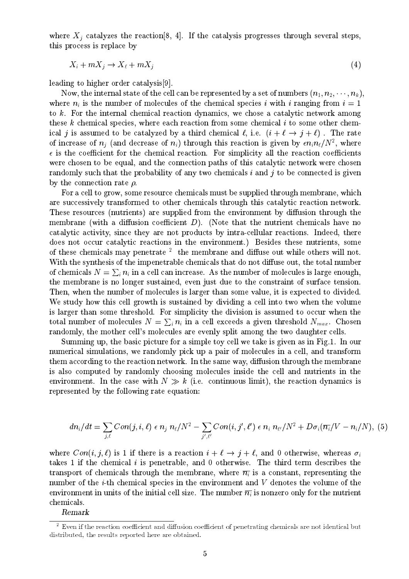where  $X_j$  catalyzes the reaction [8, 4]. If the catalysis progresses through several steps, this process is replace by

$$
X_i + mX_j \to X_\ell + mX_j \tag{4}
$$

leading to higher order catalysis[9].

Now, the internal state of the cell can be represented by a set of numbers  $(n_1, n_2, \dots, n_k)$ , where  $n_i$  is the number of molecules of the chemical species i with i ranging from  $i = 1$ to k. For the internal chemical reaction dynamics, we chose a catalytic network among these  $k$  chemical species, where each reaction from some chemical  $i$  to some other chemical j is assumed to be catalyzed by a third chemical  $\ell$ , i.e.  $(i + \ell \rightarrow j + \ell)$ . The rate of increase of  $n_i$  (and decrease of  $n_i$ ) through this reaction is given by  $\epsilon n_i n_\ell/N^2$ , where  $\epsilon$  is the coefficient for the chemical reaction. For simplicity all the reaction coefficients were chosen to be equal, and the connection paths of this catalytic network were chosen randomly such that the probability of any two chemicals  $i$  and  $j$  to be connected is given by the connection rate  $\rho$ .

For a cell to grow, some resource chemicals must be supplied through membrane, which are successively transformed to other chemicals through this catalytic reaction network. These resources (nutrients) are supplied from the environment by diffusion through the membrane (with a diffusion coefficient  $D$ ). (Note that the nutrient chemicals have no catalytic activity, since they are not products by intra-cellular reactions. Indeed, there does not occur catalytic reactions in the environment.) Besides these nutrients, some of these chemicals may penetrate  $2$  the membrane and diffuse out while others will not. With the synthesis of the impenetrable chemicals that do not diffuse out, the total number of chemicals  $N = \sum_i n_i$  in a cell can increase. As the number of molecules is large enough, the membrane is no longer sustained, even just due to the constraint of surface tension. Then, when the number of molecules is larger than some value, it is expected to divided. We study how this cell growth is sustained by dividing a cell into two when the volume is larger than some threshold. For simplicity the division is assumed to occur when the total number of molecules  $N = \sum_i n_i$  in a cell exceeds a given threshold  $N_{max}$ . Chosen randomly, the mother cell's molecules are evenly split among the two daughter cells.

Summing up, the basic picture for a simple toy cell we take is given as in Fig.1. In our numerical simulations, we randomly pick up a pair of molecules in a cell, and transform them according to the reaction network. In the same way, diffusion through the membrane is also computed by randomly choosing molecules inside the cell and nutrients in the environment. In the case with  $N \gg k$  (i.e. continuous limit), the reaction dynamics is represented by the following rate equation:

$$
dn_i/dt = \sum_{j,\ell} Con(j,i,\ell) \epsilon n_j n_{\ell}/N^2 - \sum_{j',\ell'} Con(i,j',\ell') \epsilon n_i n_{\ell'}/N^2 + D\sigma_i(\overline{n_i}/V - n_i/N),
$$
 (5)

where  $Con(i, j, \ell)$  is 1 if there is a reaction  $i + \ell \rightarrow j + \ell$ , and 0 otherwise, whereas  $\sigma_i$ takes 1 if the chemical  $i$  is penetrable, and 0 otherwise. The third term describes the transport of chemicals through the membrane, where  $\overline{n_i}$  is a constant, representing the number of the *i*-th chemical species in the environment and V denotes the volume of the environment in units of the initial cell size. The number  $\overline{n_i}$  is nonzero only for the nutrient chemicals.

Remark

<sup>&</sup>lt;sup>2</sup> Even if the reaction coefficient and diffusion coefficient of penetrating chemicals are not identical but distributed, the results reported here are obtained.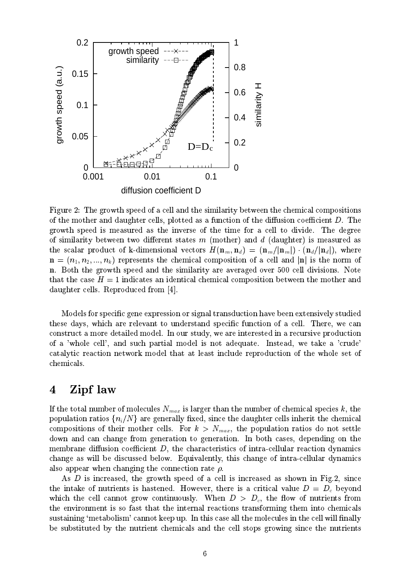

Figure 2: The growth speed of a cell and the similarity between the chemical compositions  $\hspace{0.1mm}$ of the mother and daughter cells, plotted as a function of the diffusion coefficient  $D.$  The growth speed is measured as the inverse of the time for a cell to divide. The degree of similarity between two different states  $m$  (mother) and  $d$  (daughter) is measured as the scalar product of k-dimensional vectors  $H(\mathbf{n}_m, \mathbf{n}_d) = (\mathbf{n}_m/|\mathbf{n}_m|) \cdot (\mathbf{n}_d/|\mathbf{n}_d|)$ , where  $\mathbf{n} = (n_1, n_2, ..., n_k)$  represents the chemical composition of a cell and  $|\mathbf{n}|$  is the norm of n. Both the growth speed and the similarity are averaged over 500 cell divisions. Note that the case  $H = 1$  indicates an identical chemical composition between the mother and daughter cells. Reproduced from [4].

Models for specific gene expression or signal transduction have been extensively studied  $\;$ these days, which are relevant to understand specific function of a cell. There, we can  $\,$  construct a more detailed model. In our study, we are interested in a recursive production of a 'whole cell', and such partial model is not adequate. Instead, we take a 'crude' catalytic reaction network model that at least include reproduction of the whole set of chemicals.

## 

If the total number of molecules  $N_{max}$  is larger than the number of chemical species  $k,$  the population ratios  $\{n_i/N\}$  are generally fixed, since the daughter cells inherit the chemical compositions of their mother cells. For  $k > N_{max}$ , the population ratios do not settle down and can change from generation to generation. In both cases, depending on the membrane diffusion coefficient  $D$ , the characteristics of intra-cellular reaction dynamics change as will be discussed below. Equivalently, this change of intra-cellular dynamics also appear when changing the connection rate  $\rho$ .

As  $D$  is increased, the growth speed of a cell is increased as shown in Fig.2, since the intake of nutrients is hastened. However, there is a critical value  $D = D_c$  beyond which the cell cannot grow continuously. When  $D > D_c$ , the flow of nutrients from the environment is so fast that the internal reactions transforming them into chemicals  $\,$  sustaining 'metabolism' cannot keep up. In this case all the molecules in the cell will finally be substituted by the nutrient chemicals and the cell stops growing since the nutrients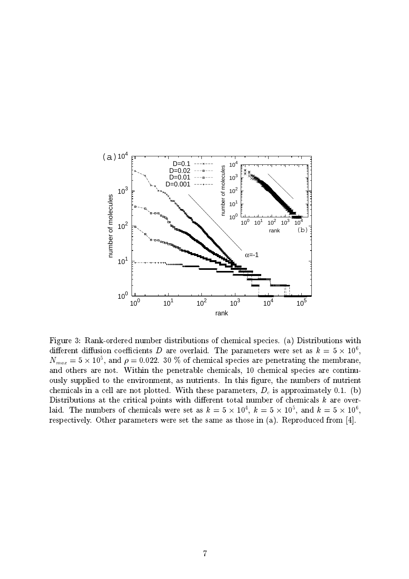

Figure 3: Rank-ordered number distributions of chemical species. (a) Distributions with different diffusion coefficients  $D$  are overlaid. The parameters were set as  $k=5\times 10^6,$  $N_{max}=5\times 10^5,$  and  $\rho=0.022.$  30 % of chemical species are penetrating the membrane, and others are not. Within the penetrable chemicals, 10 chemical species are continuously supplied to the environment, as nutrients. In this figure, the numbers of nutrient chemicals in a cell are not plotted. With these parameters,  $D_c$  is approximately 0.1. (b) Distributions at the critical points with different total number of chemicals  $k$  are overlaid. The numbers of chemicals were set as  $k=5\times 10^4,\,k=5\times 10^5,\,{\rm and}\,\,k=5\times 10^6,$ respectively. Other parameters were set the same as those in (a). Reproduced from [4].  $\;$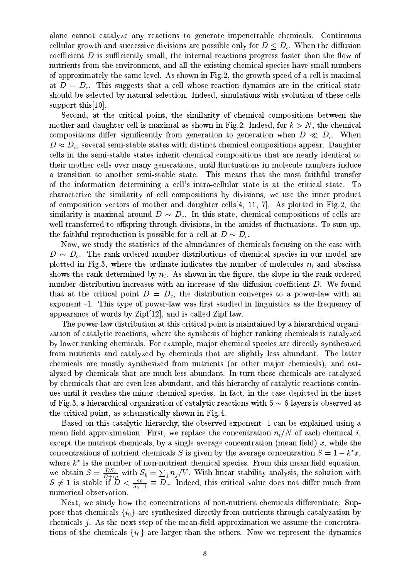alone cannot catalyze any reactions to generate impenetrable chemicals. Continuous cellular growth and successive divisions are possible only for  $D \leq D_c$ . When the diffusion coefficient  $D$  is sufficiently small, the internal reactions progress faster than the flow of nutrients from the environment, and all the existing chemical species have small numbers of approximately the same level. As shown in Fig.2, the growth speed of a cell is maximal at  $D = D_c$ . This suggests that a cell whose reaction dynamics are in the critical state should be selected by natural selection. Indeed, simulations with evolution of these cells support this  $[10]$ .

Second, at the critical point, the similarity of chemical compositions between the mother and daughter cell is maximal as shown in Fig.2. Indeed, for  $k > N$ , the chemical compositions differ significantly from generation to generation when  $D \ll D_c$ . When  $D \approx D_c$ , several semi-stable states with distinct chemical compositions appear. Daughter cells in the semi-stable states inherit chemical compositions that are nearly identical to their mother cells over many generations, until fluctuations in molecule numbers induce a transition to another semi-stable state. This means that the most faithful transfer of the information determining a cell's intra-cellular state is at the critical state. To characterize the similarity of cell compositions by divisions, we use the inner product of composition vectors of mother and daughter cells [4, 11, 7]. As plotted in Fig.2, the similarity is maximal around  $D \sim D_c$ . In this state, chemical compositions of cells are well transferred to offspring through divisions, in the amidst of fluctuations. To sum up, the faithful reproduction is possible for a cell at  $D \sim D_c$ .

Now, we study the statistics of the abundances of chemicals focusing on the case with  $D \sim D_c$ . The rank-ordered number distributions of chemical species in our model are plotted in Fig.3, where the ordinate indicates the number of molecules  $n_i$  and abscissa shows the rank determined by  $n_i$ . As shown in the figure, the slope in the rank-ordered number distribution increases with an increase of the diffusion coefficient D. We found that at the critical point  $D = D_c$ , the distribution converges to a power-law with an exponent -1. This type of power-law was first studied in linguistics as the frequency of appearance of words by Zipf[12], and is called Zipf law.

The power-law distribution at this critical point is maintained by a hierarchical organization of catalytic reactions, where the synthesis of higher ranking chemicals is catalyzed by lower ranking chemicals. For example, major chemical species are directly synthesized from nutrients and catalyzed by chemicals that are slightly less abundant. The latter chemicals are mostly synthesized from nutrients (or other major chemicals), and catalyzed by chemicals that are much less abundant. In turn these chemicals are catalyzed by chemicals that are even less abundant, and this hierarchy of catalytic reactions continues until it reaches the minor chemical species. In fact, in the case depicted in the inset of Fig.3, a hierarchical organization of catalytic reactions with  $5 \sim 6$  layers is observed at the critical point, as schematically shown in Fig.4.

Based on this catalytic hierarchy, the observed exponent -1 can be explained using a mean field approximation. First, we replace the concentration  $n_i/N$  of each chemical i, except the nutrient chemicals, by a single average concentration (mean field)  $x$ , while the concentrations of nutrient chemicals S is given by the average concentration  $S = 1 - k^*x$ , where  $k^*$  is the number of non-nutrient chemical species. From this mean field equation, we obtain  $S = \frac{DS_0}{D + \epsilon \rho}$  with  $S_0 = \sum_j \overline{n_j}/V$ . With linear stability analysis, the solution with  $S \neq 1$  is stable if  $D < \frac{\epsilon \rho}{S_0 - 1} \equiv D_c$ . Indeed, this critical value does not differ much from numerical observation.

Next, we study how the concentrations of non-nutrient chemicals differentiate. Suppose that chemicals  $\{i_0\}$  are synthesized directly from nutrients through catalyzation by chemicals *j*. As the next step of the mean-field approximation we assume the concentrations of the chemicals  $\{i_0\}$  are larger than the others. Now we represent the dynamics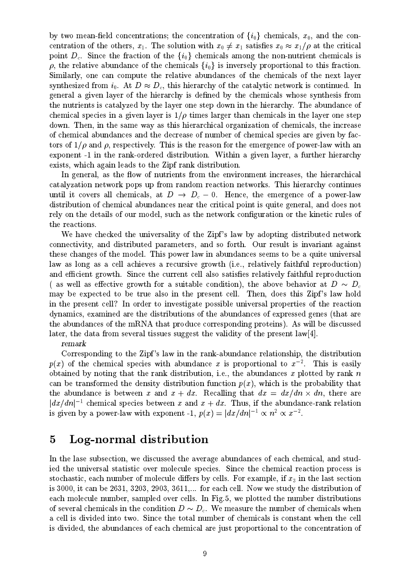by two mean-field concentrations; the concentration of  $\{i_0\}$  chemicals,  $x_0$ , and the concentration of the others,  $x_1$ . The solution with  $x_0 \neq x_1$  satisfies  $x_0 \approx x_1/\rho$  at the critical point  $D_c$ . Since the fraction of the  $\{i_0\}$  chemicals among the non-nutrient chemicals is  $\rho$ , the relative abundance of the chemicals  $\{i_0\}$  is inversely proportional to this fraction. Similarly, one can compute the relative abundances of the chemicals of the next layer synthesized from  $i_0$ . At  $D \approx D_c$ , this hierarchy of the catalytic network is continued. In general a given layer of the hierarchy is defined by the chemicals whose synthesis from the nutrients is catalyzed by the layer one step down in the hierarchy. The abundance of chemical species in a given layer is  $1/\rho$  times larger than chemicals in the layer one step down. Then, in the same way as this hierarchical organization of chemicals, the increase of chemical abundances and the decrease of number of chemical species are given by factors of  $1/\rho$  and  $\rho$ , respectively. This is the reason for the emergence of power-law with an exponent -1 in the rank-ordered distribution. Within a given layer, a further hierarchy exists, which again leads to the Zipf rank distribution.

In general, as the flow of nutrients from the environment increases, the hierarchical catalyzation network pops up from random reaction networks. This hierarchy continues until it covers all chemicals, at  $D \to D_c - 0$ . Hence, the emergence of a power-law distribution of chemical abundances near the critical point is quite general, and does not rely on the details of our model, such as the network configuration or the kinetic rules of the reactions.

We have checked the universality of the Zipf's law by adopting distributed network connectivity, and distributed parameters, and so forth. Our result is invariant against these changes of the model. This power law in abundances seems to be a quite universal law as long as a cell achieves a recursive growth (i.e., relatively faithful reproduction) and efficient growth. Since the current cell also satisfies relatively faithful reproduction (as well as effective growth for a suitable condition), the above behavior at  $D \sim D_c$ may be expected to be true also in the present cell. Then, does this Zipf's law hold in the present cell? In order to investigate possible universal properties of the reaction dynamics, examined are the distributions of the abundances of expressed genes (that are the abundances of the mRNA that produce corresponding proteins). As will be discussed later, the data from several tissues suggest the validity of the present law[4].

### remark

Corresponding to the Zipf's law in the rank-abundance relationship, the distribution  $p(x)$  of the chemical species with abundance x is proportional to  $x^{-2}$ . This is easily obtained by noting that the rank distribution, i.e., the abundances x plotted by rank n can be transformed the density distribution function  $p(x)$ , which is the probability that the abundance is between x and  $x + dx$ . Recalling that  $dx = dx/dn \times dn$ , there are  $|dx/dn|^{-1}$  chemical species between x and  $x + dx$ . Thus, if the abundance-rank relation is given by a power-law with exponent -1,  $p(x) = |dx/dn|^{-1} \propto n^2 \propto x^{-2}$ .

#### Log-normal distribution  $\overline{5}$

In the lase subsection, we discussed the average abundances of each chemical, and studied the universal statistic over molecule species. Since the chemical reaction process is stochastic, each number of molecule differs by cells. For example, if  $x_3$  in the last section is 3000, it can be 2631, 3203, 2903, 3611,... for each cell. Now we study the distribution of each molecule number, sampled over cells. In Fig.5, we plotted the number distributions of several chemicals in the condition  $D \sim D_c$ . We measure the number of chemicals when a cell is divided into two. Since the total number of chemicals is constant when the cell is divided, the abundances of each chemical are just proportional to the concentration of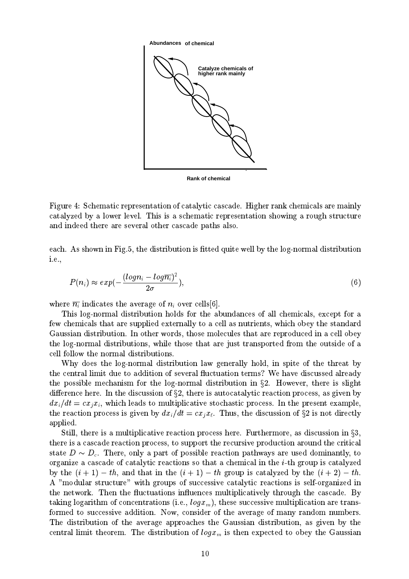

**Rank of chemical**

Figure 4: Schematic representation of catalytic cascade. Higher rank chemicals are mainly  $\;$ catalyzed by a lower level. This is a schematic representation showing a rough structure and indeed there are several other cascade paths also.  $\hspace{0.1mm}$ 

each. As shown in Fig.5, the distribution is fitted quite well by the log-normal distribution i.e.,

$$
P(n_i) \approx exp(-\frac{(log n_i - log \overline{n_i})^2}{2\sigma}), \qquad (6)
$$

where  $\overline{n_i}$  indicates the average of  $n_i$  over cells[6].

This log-normal distribution holds for the abundances of all chemicals, except for a  $\;$ few chemicals that are supplied externally to a cell as nutrients, which obey the standard Gaussian distribution. In other words, those molecules that are reproduced in a cell obey the log-normal distributions, while those that are just transported from the outside of a  $\mathop{\mathsf{cell}}$  follow the normal distributions.

Why does the log-normal distribution law generally hold, in spite of the threat by the central limit due to addition of several fluctuation terms? We have discussed already the possible mechanism for the log-normal distribution in  $\S 2$ . However, there is slight difference here. In the discussion of  $\S 2,$  there is autocatalytic reaction process, as given by  $dx_i/dt = cx_jx_i$ , which leads to multiplicative stochastic process. In the present example, the reaction process is given by  $dx_i/dt = cx_jx_\ell$ . Thus, the discussion of  $\S 2$  is not directly applied.

Still, there is a multiplicative reaction process here. Furthermore, as discussion in  $\S 3,$  $\,$  there is a cascade reaction process, to support the recursive production around the critical  $\,$ state  $D \sim D_c$ . There, only a part of possible reaction pathways are used dominantly, to organize a cascade of catalytic reactions so that a chemical in the  $i\text{-th}$  group is catalyzed by the  $(i + 1) - th$ , and that in the  $(i + 1) - th$  group is catalyzed by the  $(i + 2) - th$ . A "modular structure" with groups of successive catalytic reactions is self-organized in the network. Then the fluctuations influences multiplicatively through the cascade. By taking logarithm of concentrations (i.e.,  $log x_m$ ), these successive multiplication are transformed to successive addition. Now, consider of the average of many random numbers. The distribution of the average approaches the Gaussian distribution, as given by the central limit theorem. The distribution of  $log x_m$  is then expected to obey the Gaussian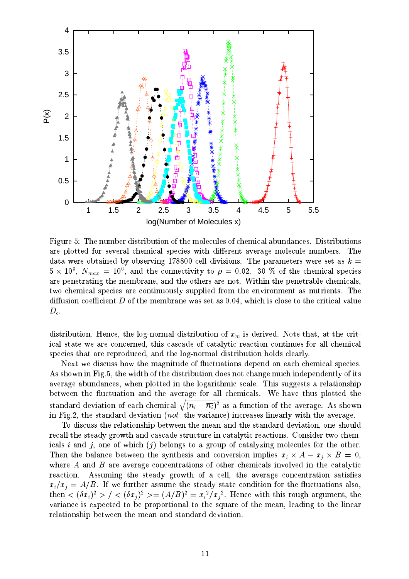

Figure 5: The number distribution of the molecules of chemical abundances. Distributions  $\hspace{0.1mm}$ are plotted for several chemical species with different average molecule numbers. The data were obtained by observing 178800 cell divisions. The parameters were set as  $k=$  $5 \times 10^3$ ,  $N_{max} = 10^6$ , and the connectivity to  $\rho = 0.02$ . 30 % of the chemical species are penetrating the membrane, and the others are not. Within the penetrable chemicals,  $\;$ two chemical species are continuously supplied from the environment as nutrients. The  $\rm{diffusion\; coefficient}\; D$  of the membrane was set as 0.04, which is close to the critical value  $D_c$ .

distribution. Hence, the log-normal distribution of  $x_m$  is derived. Note that, at the critical state we are concerned, this cascade of catalytic reaction continues for all chemical  $\,$  species that are reproduced, and the log-normal distribution holds clearly.  $\,$ 

Next we discuss how the magnitude of fluctuations depend on each chemical species. As shown in Fig.5, the width of the distribution does not change much independently of its  $\;$ average abundances, when plotted in the logarithmic scale. This suggests a relationship between the fluctuation and the average for all chemicals. We have thus plotted the standard deviation of each chemical  $\sqrt{(n_i-\overline{n_i})^2}$  as a function of the average. As shown in Fig.2, the standard deviation (not the variance) increases linearly with the average.

To discuss the relationship between the mean and the standard-deviation, one should recall the steady growth and cascade structure in catalytic reactions. Consider two chemicals i and j, one of which  $(j)$  belongs to a group of catalyzing molecules for the other. Then the balance between the synthesis and conversion implies  $x_i \times A - x_j \times B = 0$ , where  $A$  and  $B$  are average concentrations of other chemicals involved in the catalytic reaction. . Assuming the steady growth of a cell, the average concentration satisfies  $\overline{x_i}/\overline{x_j} = A/B$ . If we further assume the steady state condition for the fluctuations also,  $\hbox{then} <(\delta x_i)^2> / <(\delta x_j)^2>=(A/B)^2=\overline{x_i}^2/\overline{x_j}^2.$  Hence with this rough argument, the variance is expected to be proportional to the square of the mean, leading to the linear relationship between the mean and standard deviation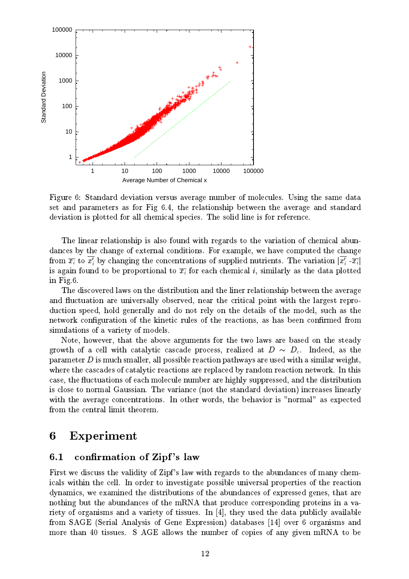

Figure 6: Standard deviation versus average number of molecules. Using the same data set and parameters as for Fig 6.4, the relationship between the average and standard deviation is plotted for all chemical species. The solid line is for reference.

The linear relationship is also found with regards to the variation of chemical abundances by the change of external conditions. For example, we have computed the change from  $\overline{x_i}$  to  $\overline{x'_i}$  by changing the concentrations of supplied nutrients. The variation  $\overline{x'_i}$  - $\overline{x_i}$ is again found to be proportional to  $\overline{x_i}$  for each chemical i, similarly as the data plotted in Fig.6.

The discovered laws on the distribution and the liner relationship between the average and fluctuation are universally observed, near the critical point with the largest reproduction speed, hold generally and do not rely on the details of the model, such as the network configuration of the kinetic rules of the reactions, as has been confirmed from simulations of a variety of models.

Note, however, that the above arguments for the two laws are based on the steady growth of a cell with catalytic cascade process, realized at  $D \sim D_c$ . Indeed, as the parameter  $D$  is much smaller, all possible reaction pathways are used with a similar weight, where the cascades of catalytic reactions are replaced by random reaction network. In this case, the fluctuations of each molecule number are highly suppressed, and the distribution is close to normal Gaussian. The variance (not the standard deviation) increases linearly with the average concentrations. In other words, the behavior is "normal" as expected from the central limit theorem.

#### Experiment 6

#### confirmation of Zipf's law  $6.1$

First we discuss the validity of Zipf's law with regards to the abundances of many chemicals within the cell. In order to investigate possible universal properties of the reaction dynamics, we examined the distributions of the abundances of expressed genes, that are nothing but the abundances of the mRNA that produce corresponding proteins in a variety of organisms and a variety of tissues. In [4], they used the data publicly available from SAGE (Serial Analysis of Gene Expression) databases [14] over 6 organisms and more than 40 tissues. S AGE allows the number of copies of any given mRNA to be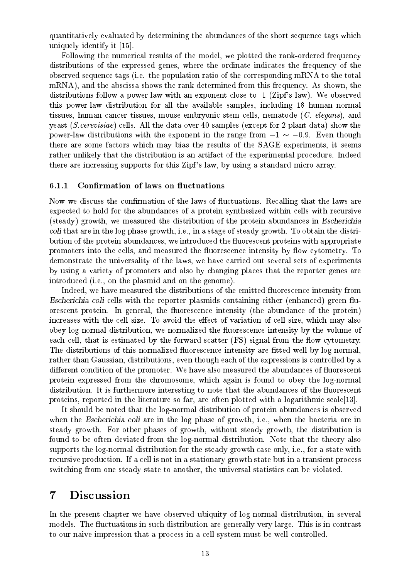quantitatively evaluated by determining the abundances of the short sequence tags which uniquely identify it [15].

Following the numerical results of the model, we plotted the rank-ordered frequency distributions of the expressed genes, where the ordinate indicates the frequency of the observed sequence tags (i.e. the population ratio of the corresponding mRNA to the total mRNA), and the abscissa shows the rank determined from this frequency. As shown, the distributions follow a power-law with an exponent close to -1 (Zipf's law). We observed this power-law distribution for all the available samples, including 18 human normal tissues, human cancer tissues, mouse embryonic stem cells, nematode (C. elegans), and yeast (*S.cerevisiae*) cells. All the data over 40 samples (except for 2 plant data) show the power-law distributions with the exponent in the range from  $-1 \sim -0.9$ . Even though there are some factors which may bias the results of the SAGE experiments, it seems rather unlikely that the distribution is an artifact of the experimental procedure. Indeed there are increasing supports for this Zipf's law, by using a standard micro array.

#### Confirmation of laws on fluctuations  $6.1.1$

Now we discuss the confirmation of the laws of fluctuations. Recalling that the laws are expected to hold for the abundances of a protein synthesized within cells with recursive (steady) growth, we measured the distribution of the protein abundances in Escherichia coli that are in the log phase growth, i.e., in a stage of steady growth. To obtain the distribution of the protein abundances, we introduced the fluorescent proteins with appropriate promoters into the cells, and measured the fluorescence intensity by flow cytometry. To demonstrate the universality of the laws, we have carried out several sets of experiments by using a variety of promoters and also by changing places that the reporter genes are introduced (i.e., on the plasmid and on the genome).

Indeed, we have measured the distributions of the emitted fluorescence intensity from Escherichia coli cells with the reporter plasmids containing either (enhanced) green fluorescent protein. In general, the fluorescence intensity (the abundance of the protein) increases with the cell size. To avoid the effect of variation of cell size, which may also obey log-normal distribution, we normalized the fluorescence intensity by the volume of each cell, that is estimated by the forward-scatter (FS) signal from the flow cytometry. The distributions of this normalized fluorescence intensity are fitted well by log-normal, rather than Gaussian, distributions, even though each of the expressions is controlled by a different condition of the promoter. We have also measured the abundances of fluorescent protein expressed from the chromosome, which again is found to obey the log-normal distribution. It is furthermore interesting to note that the abundances of the fluorescent proteins, reported in the literature so far, are often plotted with a logarithmic scale [13].

It should be noted that the log-normal distribution of protein abundances is observed when the *Escherichia coli* are in the log phase of growth, i.e., when the bacteria are in steady growth. For other phases of growth, without steady growth, the distribution is found to be often deviated from the log-normal distribution. Note that the theory also supports the log-normal distribution for the steady growth case only, i.e., for a state with recursive production. If a cell is not in a stationary growth state but in a transient process switching from one steady state to another, the universal statistics can be violated.

#### Discussion  $\overline{7}$

In the present chapter we have observed ubiquity of log-normal distribution, in several models. The fluctuations in such distribution are generally very large. This is in contrast to our naive impression that a process in a cell system must be well controlled.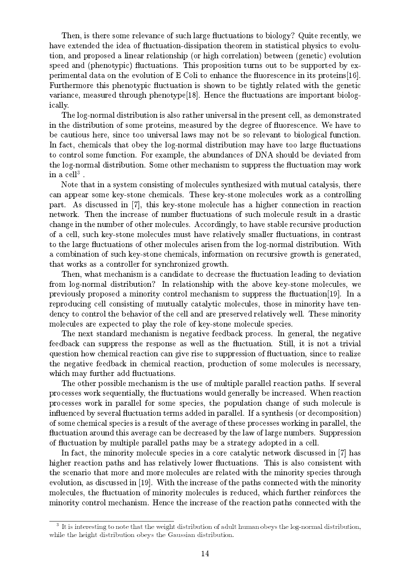Then, is there some relevance of such large fluctuations to biology? Quite recently, we have extended the idea of fluctuation-dissipation theorem in statistical physics to evolution, and proposed a linear relationship (or high correlation) between (genetic) evolution speed and (phenotypic) fluctuations. This proposition turns out to be supported by experimental data on the evolution of E Coli to enhance the fluorescence in its proteins [16]. Furthermore this phenotypic fluctuation is shown to be tightly related with the genetic variance, measured through phenotype<sup>[18]</sup>. Hence the fluctuations are important biologically.

The log-normal distribution is also rather universal in the present cell, as demonstrated in the distribution of some proteins, measured by the degree of fluorescence. We have to be cautious here, since too universal laws may not be so relevant to biological function. In fact, chemicals that obey the log-normal distribution may have too large fluctuations to control some function. For example, the abundances of DNA should be deviated from the log-normal distribution. Some other mechanism to suppress the fluctuation may work in a cell<sup>3</sup>.

Note that in a system consisting of molecules synthesized with mutual catalysis, there can appear some key-stone chemicals. These key-stone molecules work as a controlling part. As discussed in [7], this key-stone molecule has a higher connection in reaction network. Then the increase of number fluctuations of such molecule result in a drastic change in the number of other molecules. Accordingly, to have stable recursive production of a cell, such key-stone molecules must have relatively smaller fluctuations, in contrast to the large fluctuations of other molecules arisen from the log-normal distribution. With a combination of such key-stone chemicals, information on recursive growth is generated, that works as a controller for synchronized growth.

Then, what mechanism is a candidate to decrease the fluctuation leading to deviation from log-normal distribution? In relationship with the above key-stone molecules, we previously proposed a minority control mechanism to suppress the fluctuation [19]. In a reproducing cell consisting of mutually catalytic molecules, those in minority have tendency to control the behavior of the cell and are preserved relatively well. These minority molecules are expected to play the role of key-stone molecule species.

The next standard mechanism is negative feedback process. In general, the negative feedback can suppress the response as well as the fluctuation. Still, it is not a trivial question how chemical reaction can give rise to suppression of fluctuation, since to realize the negative feedback in chemical reaction, production of some molecules is necessary, which may further add fluctuations.

The other possible mechanism is the use of multiple parallel reaction paths. If several processes work sequentially, the fluctuations would generally be increased. When reaction processes work in parallel for some species, the population change of such molecule is influenced by several fluctuation terms added in parallel. If a synthesis (or decomposition) of some chemical species is a result of the average of these processes working in parallel, the fluctuation around this average can be decreased by the law of large numbers. Suppression of fluctuation by multiple parallel paths may be a strategy adopted in a cell.

In fact, the minority molecule species in a core catalytic network discussed in [7] has higher reaction paths and has relatively lower fluctuations. This is also consistent with the scenario that more and more molecules are related with the minority species through evolution, as discussed in [19]. With the increase of the paths connected with the minority molecules, the fluctuation of minority molecules is reduced, which further reinforces the minority control mechanism. Hence the increase of the reaction paths connected with the

<sup>&</sup>lt;sup>3</sup> It is interesting to note that the weight distribution of adult human obeys the log-normal distribution, while the height distribution obeys the Gaussian distribution.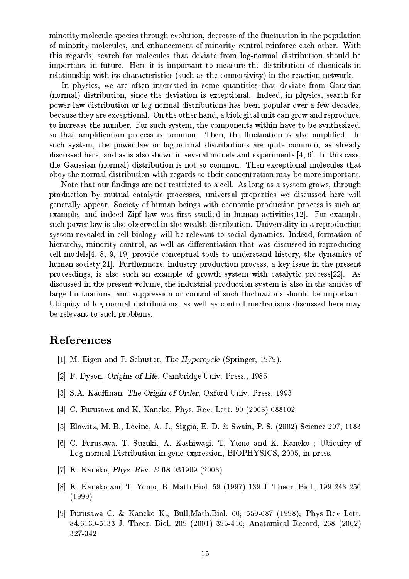minority molecule species through evolution, decrease of the fluctuation in the population of minority molecules, and enhancement of minority control reinforce each other. With this regards, search for molecules that deviate from log-normal distribution should be important, in future. Here it is important to measure the distribution of chemicals in relationship with its characteristics (such as the connectivity) in the reaction network.

In physics, we are often interested in some quantities that deviate from Gaussian (normal) distribution, since the deviation is exceptional. Indeed, in physics, search for power-law distribution or log-normal distributions has been popular over a few decades, because they are exceptional. On the other hand, a biological unit can grow and reproduce, to increase the number. For such system, the components within have to be synthesized, so that amplification process is common. Then, the fluctuation is also amplified. In such system, the power-law or log-normal distributions are quite common, as already discussed here, and as is also shown in several models and experiments [4, 6]. In this case, the Gaussian (normal) distribution is not so common. Then exceptional molecules that obey the normal distribution with regards to their concentration may be more important.

Note that our findings are not restricted to a cell. As long as a system grows, through production by mutual catalytic processes, universal properties we discussed here will generally appear. Society of human beings with economic production process is such an example, and indeed Zipf law was first studied in human activities [12]. For example, such power law is also observed in the wealth distribution. Universality in a reproduction system revealed in cell biology will be relevant to social dynamics. Indeed, formation of hierarchy, minority control, as well as differentiation that was discussed in reproducing cell models [4, 8, 9, 19] provide conceptual tools to understand history, the dynamics of human society[21]. Furthermore, industry production process, a key issue in the present proceedings, is also such an example of growth system with catalytic process [22]. As discussed in the present volume, the industrial production system is also in the amidst of large fluctuations, and suppression or control of such fluctuations should be important. Ubiquity of log-normal distributions, as well as control mechanisms discussed here may be relevant to such problems.

## References

- [1] M. Eigen and P. Schuster, The Hypercycle (Springer, 1979).
- [2] F. Dyson, *Origins of Life*, Cambridge Univ. Press., 1985
- [3] S.A. Kauffman, The Origin of Order, Oxford Univ. Press. 1993
- [4] C. Furusawa and K. Kaneko, Phys. Rev. Lett. 90 (2003) 088102
- [5] Elowitz, M. B., Levine, A. J., Siggia, E. D. & Swain, P. S. (2002) Science 297, 1183
- [6] C. Furusawa, T. Suzuki, A. Kashiwagi, T. Yomo and K. Kaneko; Ubiquity of Log-normal Distribution in gene expression, BIOPHYSICS, 2005, in press.
- [7] K. Kaneko, *Phys. Rev. E* 68 031909 (2003)
- [8] K. Kaneko and T. Yomo, B. Math.Biol. 59 (1997) 139 J. Theor. Biol., 199 243-256  $(1999)$
- [9] Furusawa C. & Kaneko K., Bull.Math.Biol. 60; 659-687 (1998); Phys Rev Lett. 84:6130-6133 J. Theor. Biol. 209 (2001) 395-416; Anatomical Record, 268 (2002) 327-342